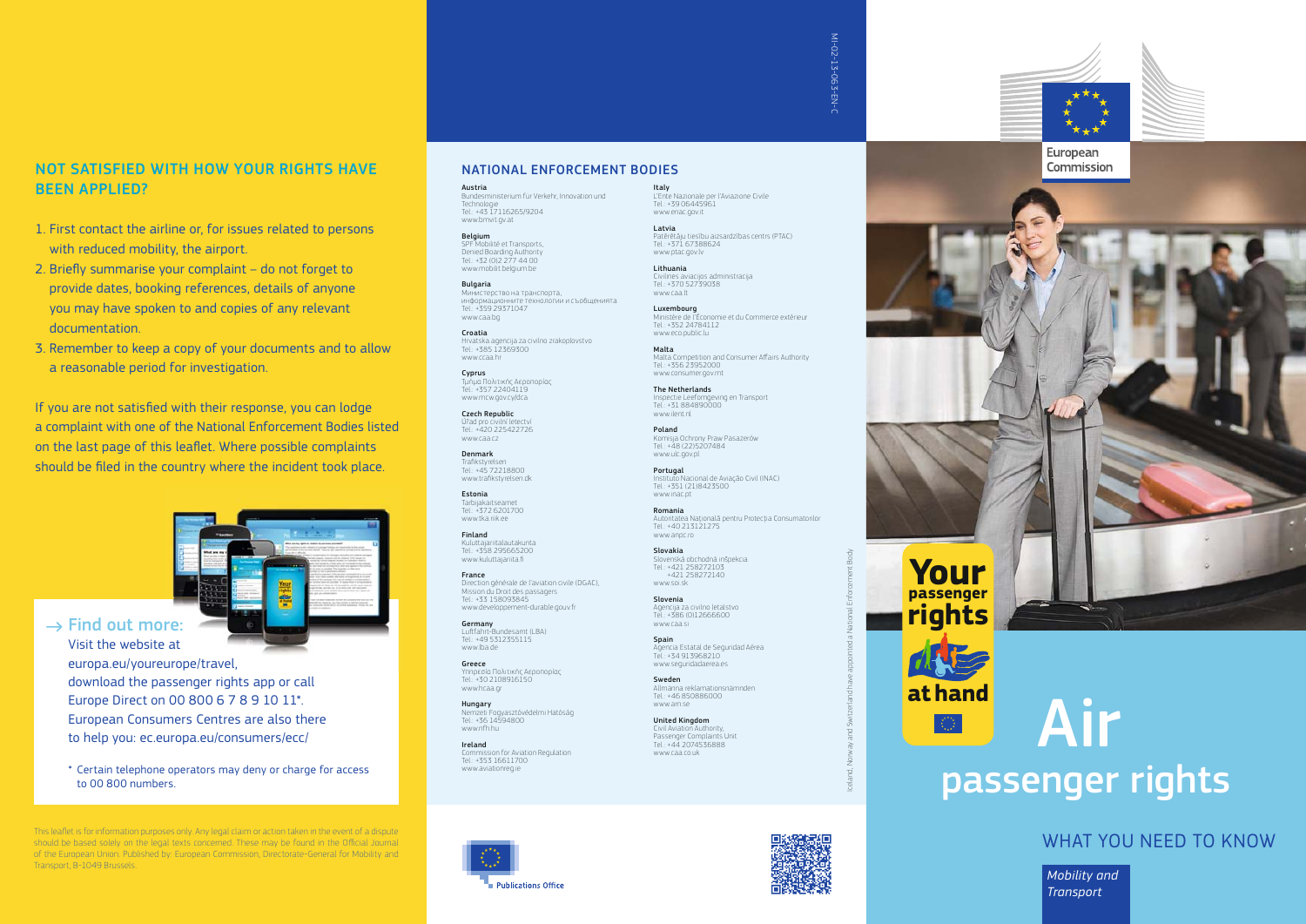#### NOT SATISFIED WITH HOW YOUR RIGHTS HAVE BEEN APPLIED?

- 1. First contact the airline or, for issues related to persons with reduced mobility, the airport.
- 2. Briefly summarise your complaint do not forget to provide dates, booking references, details of anyone you may have spoken to and copies of any relevant documentation.
- 3. Remember to keep a copy of your documents and to allow a reasonable period for investigation.

If you are not satisfied with their response, you can lodge a complaint with one of the National Enforcement Bodies listed on the last page of this leaflet. Where possible complaints should be filed in the country where the incident took place.



#### $\rightarrow$  Find out more: Visit the website at

europa.eu/youreurope/travel, download the passenger rights app or call Europe Direct on 00 800 6 7 8 9 10 11\*. European Consumers Centres are also there to help you: ec.europa.eu/consumers/ecc/

\* Certain telephone operators may deny or charge for access to 00 800 numbers.

This leaflet is for information purposes only. Any legal claim or action taken in the event of a dispute should be based solely on the legal texts concerned. These may be found in the Official Journal of the European Union. Published by: European Commission, Directorate-General for Mobility and Transport, B-1049 Brussels.

#### NATIONAL ENFORCEMENT BODIES

Italy

www.enac.gov.it Latvia

www.caa.lt Luxembourg

Tel.: +371 67388624 www.ntac.gov.lv Lithuania

Tel.: +352 24784112 www.eco.public.lu Malta

Tel.: +356 23952000 www.consumer.gov.mt The Netherlands Inspectie Leefomgeving en Transport Tel: +31 884890000 www.ilent.nl Poland

Tel: +40 213121275 www.annc.ro Slovakia

Slovenská obchodná inšpekcia Tel.: +421 258272103 +421 258272140 www.soi.sk Slovenia

Agencija za civilno letalstvo Tel.: +386 (0)12666600 www.caa.ci Spain

Agencia Estatal de Seguridad Aérea Tel.: +34 913968210 www.seguridadaerea.es Sweden

Allmänna reklamationsnämnden Tel.: +46 850886000 www.arn.se United Kingdom Civil Aviation Authority, Passenger Complaints Unit Tel: +44 2074536888 www.caa.co.uk

Civilinės aviacijos administracija Tel.: +370 52739038

Komisja Ochrony Praw Pasażerów Tel.: +48 (22)5207484 www.ulc.gov.pl

**Portugal**<br>Instituto Nacional de Aviação Civil (INAC) Tel.: +351 (21)8423500 www.inac.pt Romania

Autoritatea Naţională pentru Protecţia Consumatorilor

L'Ente Nazionale per l'Aviazione Civile Tel.: +39 06445961

Patērētāju tiesību aizsardzības centrs (PTAC)

Ministère de l'Économie et du Commerce extérieur

Malta Competition and Consumer Aff airs Authority

Austria Bundesministerium für Verkehr, Innovation und Technologie Tel.: +43 17116265/9204 www.bmvit.gv.at

**Belgium**<br>SPF Mobilité et Transports, Denied Boarding Authority Tel.: +32 (0)2 277 44 00 www.mobilit.belgium.be

Bulgaria Министерство на транспорта, информационните технологии и съобщенията Tel.: +359 29371047 www.caa.bg

Croatia Hrvatska agencija za civilno zrakoplovstvo Tel.: +385 12369300 www.ccaa.hr

Cyprus Τμήμα Πολιτικής Αεροπορίας Tel.: +357 22404119 www.mcw.gov.cy/dca

Czech Republic Úřad pro civilní letectv Tel.: +420 225422726 www.caa.cz

Denmark Trafikstyrelser Tel.: +45 72218800 www.trafikstyrelsen.dk

Estonia Tarbijakaitseamet Tel.: +372 6201700 www.tka.riik.ee

Finland Kuluttajariitalautakunta Tel.: +358 295665200 www.kuluttajariita.fi

France Direction générale de l'aviation civile (DGAC), Mission du Droit des passagers Tel.: +33 158093845 www.developpement-durable.gouv.fr

Germany Luftfahrt-Bundesamt (LBA) Tel: +49 5312355115 www.lba.de

Greece Υπηρεσία Πολιτικής Αεροπορίας Tel.: +30 2108916150 www.hcaa.gr

Hungary Nemzeti Fogyasztóvédelmi Hatóság Tel.: +36 14594800 www.nfh.hu

Ireland Commission for Aviation Regulation Tel.: +353 16611700 www.aviationreg.ie



Iceland, Norway and Switzerland have appointed a National Enforcement Body

ㅎ

and<sup>s</sup>

MI-02-13-063-EN MI-02-13-063-EN-C









# passenger rights



*Mobility and Transport*